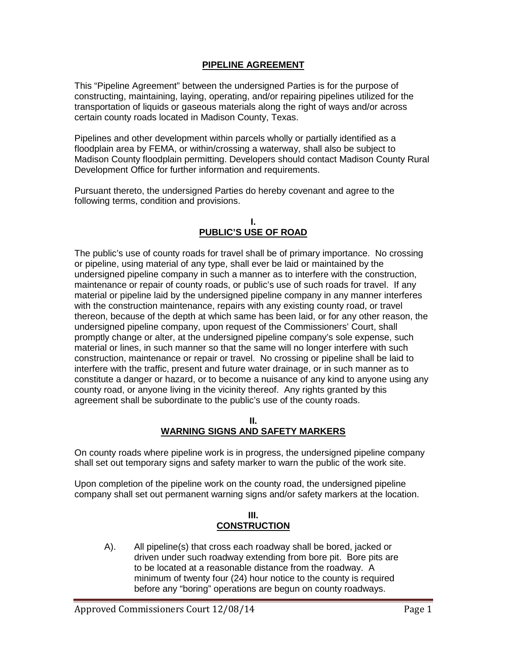# **PIPELINE AGREEMENT**

This "Pipeline Agreement" between the undersigned Parties is for the purpose of constructing, maintaining, laying, operating, and/or repairing pipelines utilized for the transportation of liquids or gaseous materials along the right of ways and/or across certain county roads located in Madison County, Texas.

Pipelines and other development within parcels wholly or partially identified as a floodplain area by FEMA, or within/crossing a waterway, shall also be subject to Madison County floodplain permitting. Developers should contact Madison County Rural Development Office for further information and requirements.

Pursuant thereto, the undersigned Parties do hereby covenant and agree to the following terms, condition and provisions.

## **I. PUBLIC'S USE OF ROAD**

The public's use of county roads for travel shall be of primary importance. No crossing or pipeline, using material of any type, shall ever be laid or maintained by the undersigned pipeline company in such a manner as to interfere with the construction, maintenance or repair of county roads, or public's use of such roads for travel. If any material or pipeline laid by the undersigned pipeline company in any manner interferes with the construction maintenance, repairs with any existing county road, or travel thereon, because of the depth at which same has been laid, or for any other reason, the undersigned pipeline company, upon request of the Commissioners' Court, shall promptly change or alter, at the undersigned pipeline company's sole expense, such material or lines, in such manner so that the same will no longer interfere with such construction, maintenance or repair or travel. No crossing or pipeline shall be laid to interfere with the traffic, present and future water drainage, or in such manner as to constitute a danger or hazard, or to become a nuisance of any kind to anyone using any county road, or anyone living in the vicinity thereof. Any rights granted by this agreement shall be subordinate to the public's use of the county roads.

#### **II. WARNING SIGNS AND SAFETY MARKERS**

On county roads where pipeline work is in progress, the undersigned pipeline company shall set out temporary signs and safety marker to warn the public of the work site.

Upon completion of the pipeline work on the county road, the undersigned pipeline company shall set out permanent warning signs and/or safety markers at the location.

### **III. CONSTRUCTION**

A). All pipeline(s) that cross each roadway shall be bored, jacked or driven under such roadway extending from bore pit. Bore pits are to be located at a reasonable distance from the roadway. A minimum of twenty four (24) hour notice to the county is required before any "boring" operations are begun on county roadways.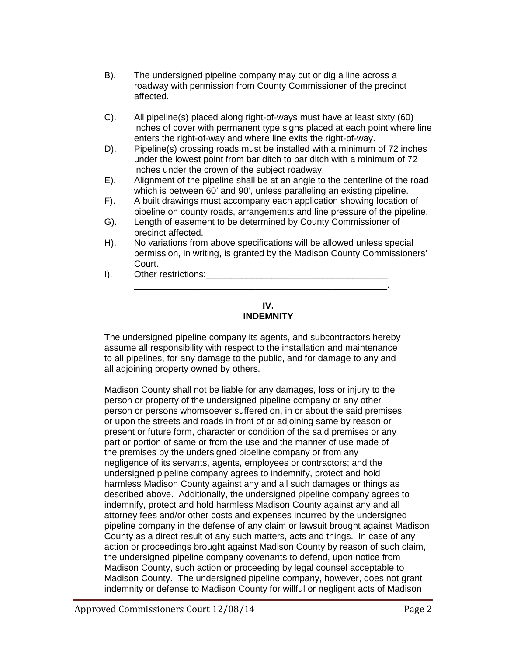- B). The undersigned pipeline company may cut or dig a line across a roadway with permission from County Commissioner of the precinct affected.
- C). All pipeline(s) placed along right-of-ways must have at least sixty (60) inches of cover with permanent type signs placed at each point where line enters the right-of-way and where line exits the right-of-way.
- D). Pipeline(s) crossing roads must be installed with a minimum of 72 inches under the lowest point from bar ditch to bar ditch with a minimum of 72 inches under the crown of the subject roadway.
- E). Alignment of the pipeline shall be at an angle to the centerline of the road which is between 60' and 90', unless paralleling an existing pipeline.
- F). A built drawings must accompany each application showing location of pipeline on county roads, arrangements and line pressure of the pipeline.
- G). Length of easement to be determined by County Commissioner of precinct affected.
- H). No variations from above specifications will be allowed unless special permission, in writing, is granted by the Madison County Commissioners' Court.

\_\_\_\_\_\_\_\_\_\_\_\_\_\_\_\_\_\_\_\_\_\_\_\_\_\_\_\_\_\_\_\_\_\_\_\_\_\_\_\_\_\_\_\_\_\_\_\_\_\_.

I). Other restrictions:

# **IV. INDEMNITY**

The undersigned pipeline company its agents, and subcontractors hereby assume all responsibility with respect to the installation and maintenance to all pipelines, for any damage to the public, and for damage to any and all adjoining property owned by others.

Madison County shall not be liable for any damages, loss or injury to the person or property of the undersigned pipeline company or any other person or persons whomsoever suffered on, in or about the said premises or upon the streets and roads in front of or adjoining same by reason or present or future form, character or condition of the said premises or any part or portion of same or from the use and the manner of use made of the premises by the undersigned pipeline company or from any negligence of its servants, agents, employees or contractors; and the undersigned pipeline company agrees to indemnify, protect and hold harmless Madison County against any and all such damages or things as described above. Additionally, the undersigned pipeline company agrees to indemnify, protect and hold harmless Madison County against any and all attorney fees and/or other costs and expenses incurred by the undersigned pipeline company in the defense of any claim or lawsuit brought against Madison County as a direct result of any such matters, acts and things. In case of any action or proceedings brought against Madison County by reason of such claim, the undersigned pipeline company covenants to defend, upon notice from Madison County, such action or proceeding by legal counsel acceptable to Madison County. The undersigned pipeline company, however, does not grant indemnity or defense to Madison County for willful or negligent acts of Madison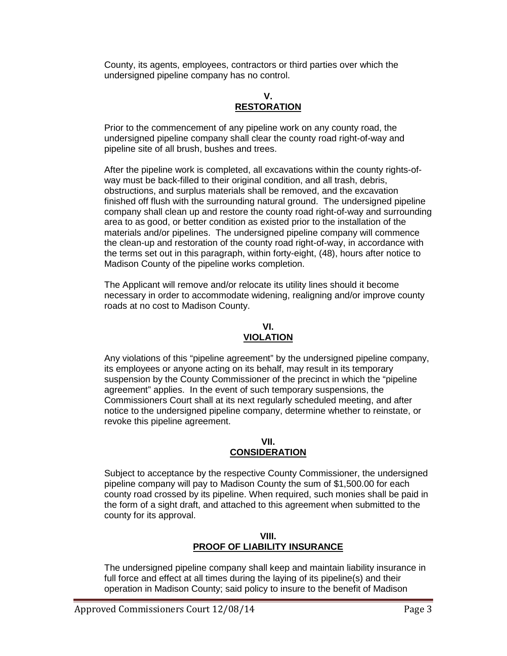County, its agents, employees, contractors or third parties over which the undersigned pipeline company has no control.

## **V. RESTORATION**

Prior to the commencement of any pipeline work on any county road, the undersigned pipeline company shall clear the county road right-of-way and pipeline site of all brush, bushes and trees.

After the pipeline work is completed, all excavations within the county rights-ofway must be back-filled to their original condition, and all trash, debris, obstructions, and surplus materials shall be removed, and the excavation finished off flush with the surrounding natural ground. The undersigned pipeline company shall clean up and restore the county road right-of-way and surrounding area to as good, or better condition as existed prior to the installation of the materials and/or pipelines. The undersigned pipeline company will commence the clean-up and restoration of the county road right-of-way, in accordance with the terms set out in this paragraph, within forty-eight, (48), hours after notice to Madison County of the pipeline works completion.

The Applicant will remove and/or relocate its utility lines should it become necessary in order to accommodate widening, realigning and/or improve county roads at no cost to Madison County.

### **VI. VIOLATION**

Any violations of this "pipeline agreement" by the undersigned pipeline company, its employees or anyone acting on its behalf, may result in its temporary suspension by the County Commissioner of the precinct in which the "pipeline agreement" applies. In the event of such temporary suspensions, the Commissioners Court shall at its next regularly scheduled meeting, and after notice to the undersigned pipeline company, determine whether to reinstate, or revoke this pipeline agreement.

## **VII. CONSIDERATION**

Subject to acceptance by the respective County Commissioner, the undersigned pipeline company will pay to Madison County the sum of \$1,500.00 for each county road crossed by its pipeline. When required, such monies shall be paid in the form of a sight draft, and attached to this agreement when submitted to the county for its approval.

## **VIII. PROOF OF LIABILITY INSURANCE**

The undersigned pipeline company shall keep and maintain liability insurance in full force and effect at all times during the laying of its pipeline(s) and their operation in Madison County; said policy to insure to the benefit of Madison